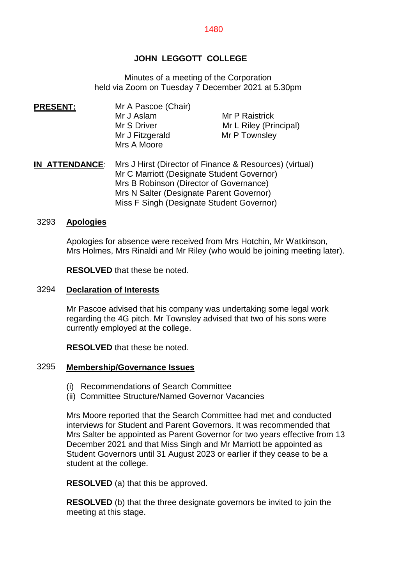## **JOHN LEGGOTT COLLEGE**

Minutes of a meeting of the Corporation held via Zoom on Tuesday 7 December 2021 at 5.30pm

**PRESENT:** Mr A Pascoe (Chair)<br>Mr J Aslam Mr P Raistrick Mr S Driver Mr L Riley (Principal) Mr J Fitzgerald Mr P Townsley Mrs A Moore

**IN ATTENDANCE**: Mrs J Hirst (Director of Finance & Resources) (virtual) Mr C Marriott (Designate Student Governor) Mrs B Robinson (Director of Governance) Mrs N Salter (Designate Parent Governor) Miss F Singh (Designate Student Governor)

#### 3293 **Apologies**

Apologies for absence were received from Mrs Hotchin, Mr Watkinson, Mrs Holmes, Mrs Rinaldi and Mr Riley (who would be joining meeting later).

**RESOLVED** that these be noted.

#### 3294 **Declaration of Interests**

Mr Pascoe advised that his company was undertaking some legal work regarding the 4G pitch. Mr Townsley advised that two of his sons were currently employed at the college.

**RESOLVED** that these be noted.

#### 3295 **Membership/Governance Issues**

- (i) Recommendations of Search Committee
- (ii) Committee Structure/Named Governor Vacancies

Mrs Moore reported that the Search Committee had met and conducted interviews for Student and Parent Governors. It was recommended that Mrs Salter be appointed as Parent Governor for two years effective from 13 December 2021 and that Miss Singh and Mr Marriott be appointed as Student Governors until 31 August 2023 or earlier if they cease to be a student at the college.

**RESOLVED** (a) that this be approved.

**RESOLVED** (b) that the three designate governors be invited to join the meeting at this stage.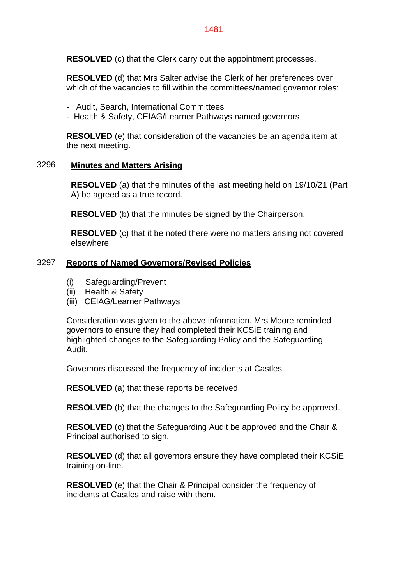**RESOLVED** (c) that the Clerk carry out the appointment processes.

**RESOLVED** (d) that Mrs Salter advise the Clerk of her preferences over which of the vacancies to fill within the committees/named governor roles:

- Audit, Search, International Committees
- Health & Safety, CEIAG/Learner Pathways named governors

**RESOLVED** (e) that consideration of the vacancies be an agenda item at the next meeting.

### 3296 **Minutes and Matters Arising**

**RESOLVED** (a) that the minutes of the last meeting held on 19/10/21 (Part A) be agreed as a true record.

**RESOLVED** (b) that the minutes be signed by the Chairperson.

**RESOLVED** (c) that it be noted there were no matters arising not covered elsewhere.

## 3297 **Reports of Named Governors/Revised Policies**

- (i) Safeguarding/Prevent
- (ii) Health & Safety
- (iii) CEIAG/Learner Pathways

Consideration was given to the above information. Mrs Moore reminded governors to ensure they had completed their KCSiE training and highlighted changes to the Safeguarding Policy and the Safeguarding Audit.

Governors discussed the frequency of incidents at Castles.

**RESOLVED** (a) that these reports be received.

**RESOLVED** (b) that the changes to the Safeguarding Policy be approved.

**RESOLVED** (c) that the Safeguarding Audit be approved and the Chair & Principal authorised to sign.

**RESOLVED** (d) that all governors ensure they have completed their KCSiE training on-line.

**RESOLVED** (e) that the Chair & Principal consider the frequency of incidents at Castles and raise with them.